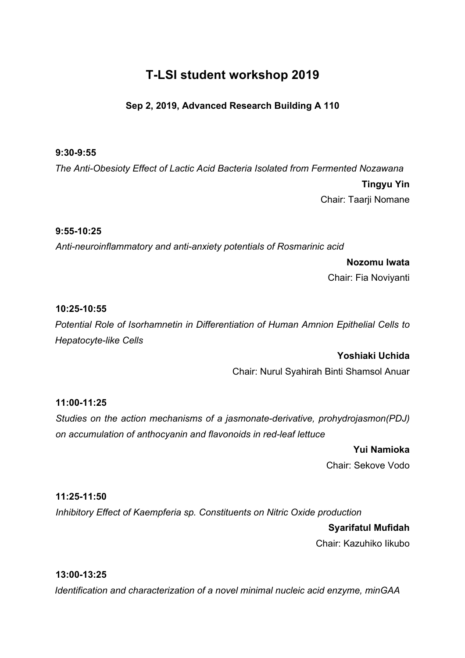# **T-LSI student workshop 2019**

**Sep 2, 2019, Advanced Research Building A 110**

# **9:30-9:55**

*The Anti-Obesioty Effect of Lactic Acid Bacteria Isolated from Fermented Nozawana* **Tingyu Yin** Chair: Taarji Nomane

# **9:55-10:25**

*Anti-neuroinflammatory and anti-anxiety potentials of Rosmarinic acid*

**Nozomu Iwata**

Chair: Fia Noviyanti

#### **10:25-10:55**

*Potential Role of Isorhamnetin in Differentiation of Human Amnion Epithelial Cells to Hepatocyte-like Cells*

#### **Yoshiaki Uchida**

Chair: Nurul Syahirah Binti Shamsol Anuar

# **11:00-11:25**

*Studies on the action mechanisms of a jasmonate-derivative, prohydrojasmon(PDJ) on accumulation of anthocyanin and flavonoids in red-leaf lettuce*

**Yui Namioka**

Chair: Sekove Vodo

# **11:25-11:50**

*Inhibitory Effect of Kaempferia sp. Constituents on Nitric Oxide production*

#### **Syarifatul Mufidah**

Chair: Kazuhiko Iikubo

#### **13:00-13:25**

*Identification and characterization of a novel minimal nucleic acid enzyme, minGAA*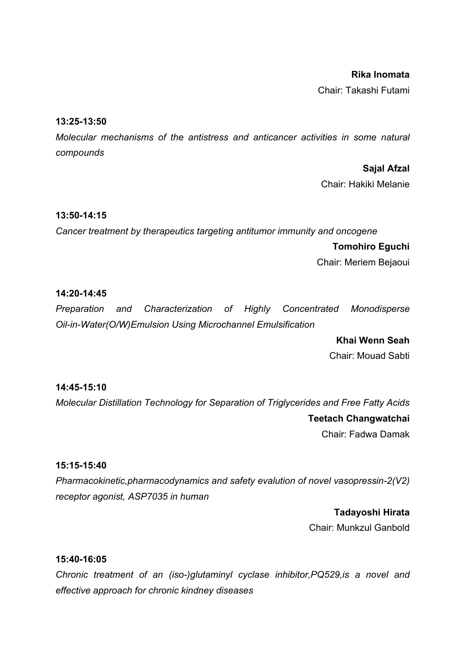# **Rika Inomata**

Chair: Takashi Futami

#### **13:25-13:50**

*Molecular mechanisms of the antistress and anticancer activities in some natural compounds*

### **Sajal Afzal**

Chair: Hakiki Melanie

#### **13:50-14:15**

*Cancer treatment by therapeutics targeting antitumor immunity and oncogene* **Tomohiro Eguchi** Chair: Meriem Bejaoui

#### **14:20-14:45**

*Preparation and Characterization of Highly Concentrated Monodisperse Oil-in-Water(O/W)Emulsion Using Microchannel Emulsification*

> **Khai Wenn Seah** Chair: Mouad Sabti

#### **14:45-15:10**

*Molecular Distillation Technology for Separation of Triglycerides and Free Fatty Acids* **Teetach Changwatchai** Chair: Fadwa Damak

#### **15:15-15:40**

*Pharmacokinetic,pharmacodynamics and safety evalution of novel vasopressin-2(V2) receptor agonist, ASP7035 in human*

> **Tadayoshi Hirata** Chair: Munkzul Ganbold

#### **15:40-16:05**

*Chronic treatment of an (iso-)glutaminyl cyclase inhibitor,PQ529,is a novel and effective approach for chronic kindney diseases*